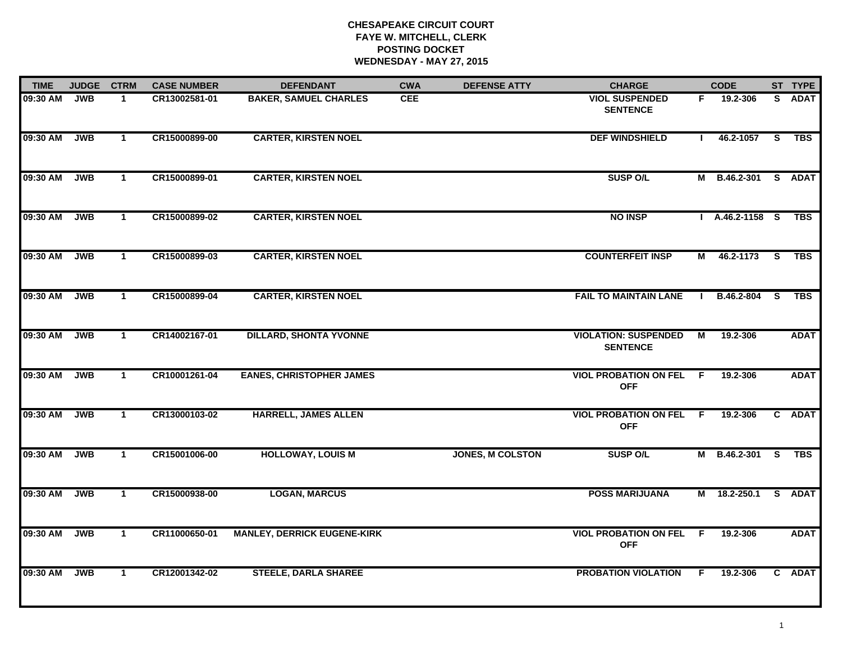# **CHESAPEAKE CIRCUIT COURT FAYE W. MITCHELL, CLERK POSTING DOCKET WEDNESDAY - MAY 27, 2015**

| <b>TIME</b> | <b>JUDGE</b> | <b>CTRM</b>  | <b>CASE NUMBER</b> | <b>DEFENDANT</b>                   | <b>CWA</b> | <b>DEFENSE ATTY</b>     | <b>CHARGE</b>                                  |                | <b>CODE</b>         |                         | ST TYPE     |
|-------------|--------------|--------------|--------------------|------------------------------------|------------|-------------------------|------------------------------------------------|----------------|---------------------|-------------------------|-------------|
| 09:30 AM    | <b>JWB</b>   | -1           | CR13002581-01      | <b>BAKER, SAMUEL CHARLES</b>       | <b>CEE</b> |                         | <b>VIOL SUSPENDED</b><br><b>SENTENCE</b>       | F.             | 19.2-306            |                         | S ADAT      |
| 09:30 AM    | <b>JWB</b>   | $\mathbf{1}$ | CR15000899-00      | <b>CARTER, KIRSTEN NOEL</b>        |            |                         | <b>DEF WINDSHIELD</b>                          | Ι.             | 46.2-1057           | $\overline{\mathbf{s}}$ | <b>TBS</b>  |
| 09:30 AM    | <b>JWB</b>   | $\mathbf{1}$ | CR15000899-01      | <b>CARTER, KIRSTEN NOEL</b>        |            |                         | <b>SUSP O/L</b>                                |                | M B.46.2-301 S ADAT |                         |             |
| 09:30 AM    | <b>JWB</b>   | $\mathbf 1$  | CR15000899-02      | <b>CARTER, KIRSTEN NOEL</b>        |            |                         | <b>NO INSP</b>                                 |                | $A.46.2 - 1158$ S   |                         | TBS         |
| 09:30 AM    | <b>JWB</b>   | $\mathbf{1}$ | CR15000899-03      | <b>CARTER, KIRSTEN NOEL</b>        |            |                         | <b>COUNTERFEIT INSP</b>                        | М              | 46.2-1173           | <b>S</b>                | <b>TBS</b>  |
| 09:30 AM    | <b>JWB</b>   | $\mathbf{1}$ | CR15000899-04      | <b>CARTER, KIRSTEN NOEL</b>        |            |                         | <b>FAIL TO MAINTAIN LANE</b>                   |                | B.46.2-804          | S.                      | <b>TBS</b>  |
| 09:30 AM    | <b>JWB</b>   | $\mathbf{1}$ | CR14002167-01      | <b>DILLARD, SHONTA YVONNE</b>      |            |                         | <b>VIOLATION: SUSPENDED</b><br><b>SENTENCE</b> | $\overline{M}$ | 19.2-306            |                         | <b>ADAT</b> |
| 09:30 AM    | <b>JWB</b>   | $\mathbf{1}$ | CR10001261-04      | <b>EANES, CHRISTOPHER JAMES</b>    |            |                         | <b>VIOL PROBATION ON FEL</b><br><b>OFF</b>     | F.             | 19.2-306            |                         | <b>ADAT</b> |
| 09:30 AM    | <b>JWB</b>   | $\mathbf{1}$ | CR13000103-02      | <b>HARRELL, JAMES ALLEN</b>        |            |                         | <b>VIOL PROBATION ON FEL</b><br><b>OFF</b>     | - F            | 19.2-306            |                         | C ADAT      |
| 09:30 AM    | <b>JWB</b>   | $\mathbf{1}$ | CR15001006-00      | <b>HOLLOWAY, LOUIS M</b>           |            | <b>JONES, M COLSTON</b> | <b>SUSP O/L</b>                                |                | M B.46.2-301        | <b>S</b>                | <b>TBS</b>  |
| 09:30 AM    | <b>JWB</b>   | $\mathbf{1}$ | CR15000938-00      | <b>LOGAN, MARCUS</b>               |            |                         | <b>POSS MARIJUANA</b>                          | м              | 18.2-250.1          | -S                      | <b>ADAT</b> |
| 09:30 AM    | <b>JWB</b>   | $\mathbf{1}$ | CR11000650-01      | <b>MANLEY, DERRICK EUGENE-KIRK</b> |            |                         | <b>VIOL PROBATION ON FEL</b><br><b>OFF</b>     | $\overline{F}$ | 19.2-306            |                         | <b>ADAT</b> |
| 09:30 AM    | <b>JWB</b>   | $\mathbf{1}$ | CR12001342-02      | <b>STEELE, DARLA SHAREE</b>        |            |                         | <b>PROBATION VIOLATION</b>                     | F.             | 19.2-306            |                         | C ADAT      |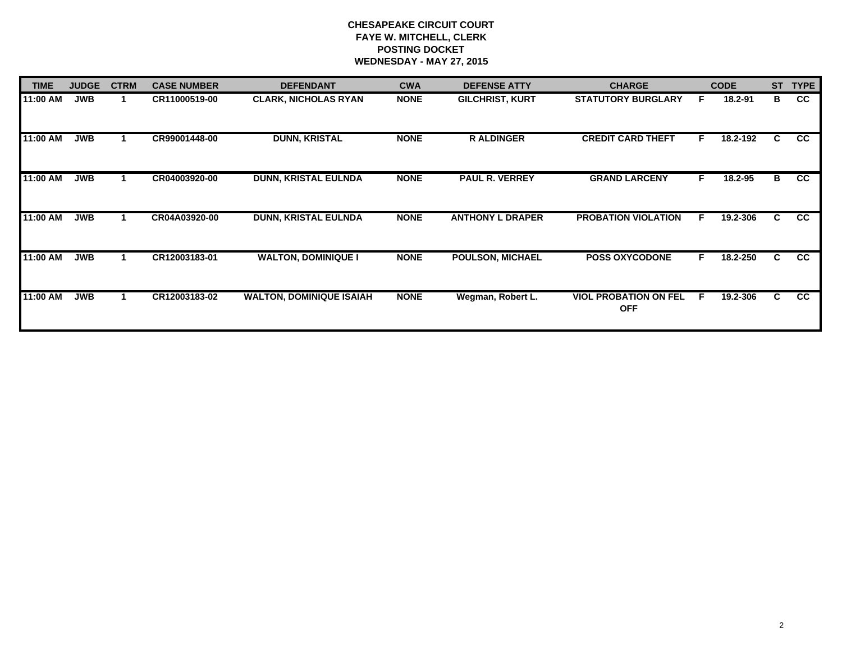# **CHESAPEAKE CIRCUIT COURT FAYE W. MITCHELL, CLERK POSTING DOCKET WEDNESDAY - MAY 27, 2015**

| <b>TIME</b> | <b>JUDGE</b> | <b>CTRM</b> | <b>CASE NUMBER</b> | <b>DEFENDANT</b>                | <b>CWA</b>  | <b>DEFENSE ATTY</b>     | <b>CHARGE</b>                              |    | <b>CODE</b> | <b>ST</b> | <b>TYPE</b>     |
|-------------|--------------|-------------|--------------------|---------------------------------|-------------|-------------------------|--------------------------------------------|----|-------------|-----------|-----------------|
| 11:00 AM    | <b>JWB</b>   |             | CR11000519-00      | <b>CLARK, NICHOLAS RYAN</b>     | <b>NONE</b> | <b>GILCHRIST, KURT</b>  | <b>STATUTORY BURGLARY</b>                  | E  | 18.2-91     | в         | cc              |
| 11:00 AM    | <b>JWB</b>   |             | CR99001448-00      | <b>DUNN, KRISTAL</b>            | <b>NONE</b> | <b>RALDINGER</b>        | <b>CREDIT CARD THEFT</b>                   | F. | 18.2-192    | C         | CC              |
| 11:00 AM    | <b>JWB</b>   |             | CR04003920-00      | <b>DUNN, KRISTAL EULNDA</b>     | <b>NONE</b> | <b>PAUL R. VERREY</b>   | <b>GRAND LARCENY</b>                       | F  | 18.2-95     | B         | CC              |
| 11:00 AM    | <b>JWB</b>   |             | CR04A03920-00      | <b>DUNN, KRISTAL EULNDA</b>     | <b>NONE</b> | <b>ANTHONY L DRAPER</b> | <b>PROBATION VIOLATION</b>                 | F. | 19.2-306    | C         | cc              |
| 11:00 AM    | <b>JWB</b>   |             | CR12003183-01      | <b>WALTON, DOMINIQUE I</b>      | <b>NONE</b> | <b>POULSON, MICHAEL</b> | <b>POSS OXYCODONE</b>                      | F. | 18.2-250    | C.        | <b>CC</b>       |
| 11:00 AM    | <b>JWB</b>   |             | CR12003183-02      | <b>WALTON, DOMINIQUE ISAIAH</b> | <b>NONE</b> | Wegman, Robert L.       | <b>VIOL PROBATION ON FEL</b><br><b>OFF</b> | F. | 19.2-306    | C.        | $\overline{cc}$ |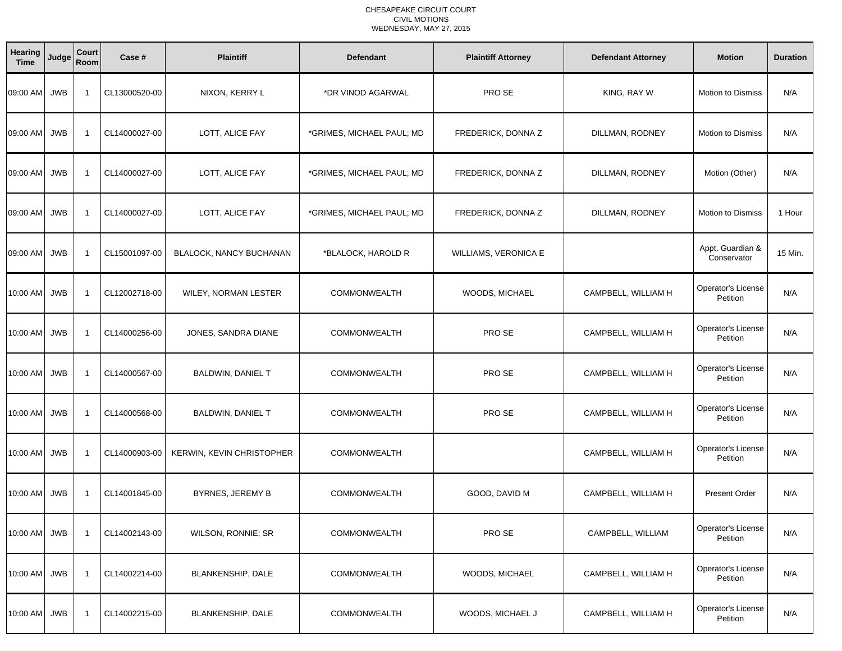| Hearing<br><b>Time</b> | Judge      | Court<br>Room            | Case #        | <b>Plaintiff</b>          | <b>Defendant</b>          | <b>Plaintiff Attorney</b> | <b>Defendant Attorney</b> | <b>Motion</b>                         | <b>Duration</b> |
|------------------------|------------|--------------------------|---------------|---------------------------|---------------------------|---------------------------|---------------------------|---------------------------------------|-----------------|
| 09:00 AM JWB           |            | - 1                      | CL13000520-00 | NIXON, KERRY L            | *DR VINOD AGARWAL         | PRO SE                    | KING, RAY W               | <b>Motion to Dismiss</b>              | N/A             |
| 09:00 AM               | <b>JWB</b> | $\overline{\phantom{a}}$ | CL14000027-00 | LOTT, ALICE FAY           | *GRIMES, MICHAEL PAUL; MD | FREDERICK, DONNA Z        | DILLMAN, RODNEY           | <b>Motion to Dismiss</b>              | N/A             |
| 09:00 AM JWB           |            | $\overline{\mathbf{1}}$  | CL14000027-00 | LOTT, ALICE FAY           | *GRIMES, MICHAEL PAUL; MD | FREDERICK, DONNA Z        | DILLMAN, RODNEY           | Motion (Other)                        | N/A             |
| 09:00 AM               | <b>JWB</b> | -1                       | CL14000027-00 | LOTT, ALICE FAY           | *GRIMES, MICHAEL PAUL; MD | FREDERICK, DONNA Z        | DILLMAN, RODNEY           | <b>Motion to Dismiss</b>              | 1 Hour          |
| 09:00 AM JWB           |            | -1                       | CL15001097-00 | BLALOCK, NANCY BUCHANAN   | *BLALOCK, HAROLD R        | WILLIAMS, VERONICA E      |                           | Appt. Guardian &<br>Conservator       | 15 Min.         |
| 10:00 AM               | <b>JWB</b> | -1                       | CL12002718-00 | WILEY, NORMAN LESTER      | <b>COMMONWEALTH</b>       | WOODS, MICHAEL            | CAMPBELL, WILLIAM H       | Operator's License<br>Petition        | N/A             |
| 10:00 AM JWB           |            | - 1                      | CL14000256-00 | JONES, SANDRA DIANE       | <b>COMMONWEALTH</b>       | PRO SE                    | CAMPBELL, WILLIAM H       | Operator's License<br>Petition        | N/A             |
| 10:00 AM JWB           |            | $\overline{1}$           | CL14000567-00 | <b>BALDWIN, DANIEL T</b>  | <b>COMMONWEALTH</b>       | PRO SE                    | CAMPBELL, WILLIAM H       | Operator's License<br>Petition        | N/A             |
| 10:00 AM               | <b>JWB</b> | -1                       | CL14000568-00 | <b>BALDWIN, DANIEL T</b>  | <b>COMMONWEALTH</b>       | PRO SE                    | CAMPBELL, WILLIAM H       | Operator's License<br>Petition        | N/A             |
| 10:00 AM JWB           |            | -1                       | CL14000903-00 | KERWIN, KEVIN CHRISTOPHER | <b>COMMONWEALTH</b>       |                           | CAMPBELL, WILLIAM H       | <b>Operator's License</b><br>Petition | N/A             |
| 10:00 AM JWB           |            | -1                       | CL14001845-00 | BYRNES, JEREMY B          | <b>COMMONWEALTH</b>       | GOOD, DAVID M             | CAMPBELL, WILLIAM H       | <b>Present Order</b>                  | N/A             |
| 10:00 AM JWB           |            | $\overline{\mathbf{1}}$  | CL14002143-00 | WILSON, RONNIE; SR        | <b>COMMONWEALTH</b>       | PRO SE                    | CAMPBELL, WILLIAM         | Operator's License<br>Petition        | N/A             |
| 10:00 AM JWB           |            | -1                       | CL14002214-00 | <b>BLANKENSHIP, DALE</b>  | <b>COMMONWEALTH</b>       | WOODS, MICHAEL            | CAMPBELL, WILLIAM H       | Operator's License<br>Petition        | N/A             |
| 10:00 AM JWB           |            | -1                       | CL14002215-00 | BLANKENSHIP, DALE         | <b>COMMONWEALTH</b>       | WOODS, MICHAEL J          | CAMPBELL, WILLIAM H       | Operator's License<br>Petition        | N/A             |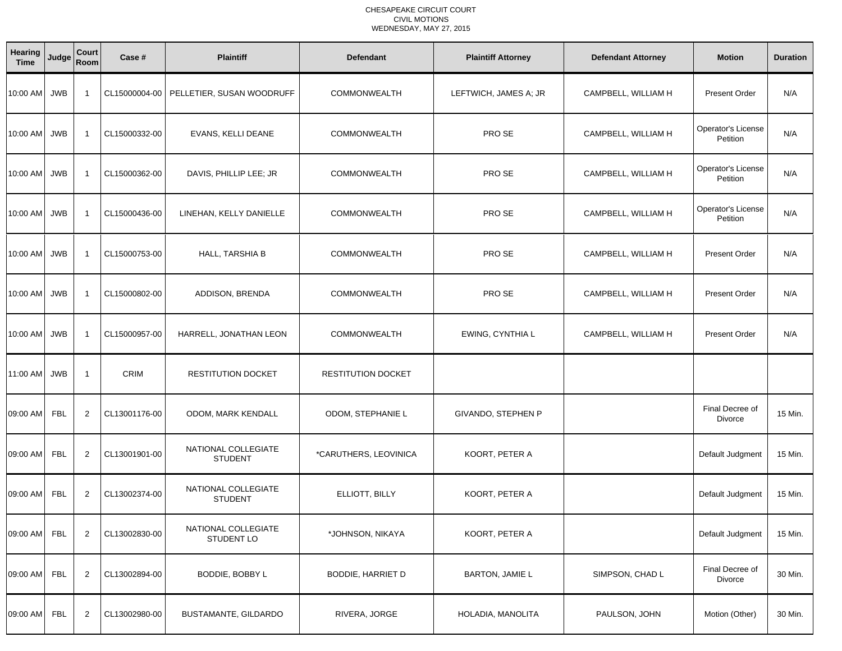| Hearing<br><b>Time</b> | Judge      | Court<br>Room           | Case #        | <b>Plaintiff</b>                      | <b>Defendant</b>         | <b>Plaintiff Attorney</b> | <b>Defendant Attorney</b> | <b>Motion</b>                  | <b>Duration</b> |
|------------------------|------------|-------------------------|---------------|---------------------------------------|--------------------------|---------------------------|---------------------------|--------------------------------|-----------------|
| 10:00 AM               | <b>JWB</b> | $\overline{1}$          | CL15000004-00 | PELLETIER, SUSAN WOODRUFF             | <b>COMMONWEALTH</b>      | LEFTWICH, JAMES A; JR     | CAMPBELL, WILLIAM H       | Present Order                  | N/A             |
| 10:00 AM               | <b>JWB</b> | $\overline{1}$          | CL15000332-00 | EVANS, KELLI DEANE                    | <b>COMMONWEALTH</b>      | PRO SE                    | CAMPBELL, WILLIAM H       | Operator's License<br>Petition | N/A             |
| 10:00 AM               | <b>JWB</b> | $\overline{\mathbf{1}}$ | CL15000362-00 | DAVIS, PHILLIP LEE; JR                | <b>COMMONWEALTH</b>      | PRO SE                    | CAMPBELL, WILLIAM H       | Operator's License<br>Petition | N/A             |
| 10:00 AM               | <b>JWB</b> | $\overline{\mathbf{1}}$ | CL15000436-00 | LINEHAN, KELLY DANIELLE               | <b>COMMONWEALTH</b>      | PRO SE                    | CAMPBELL, WILLIAM H       | Operator's License<br>Petition | N/A             |
| 10:00 AM               | <b>JWB</b> | $\overline{\mathbf{1}}$ | CL15000753-00 | HALL, TARSHIA B                       | <b>COMMONWEALTH</b>      | PRO SE                    | CAMPBELL, WILLIAM H       | <b>Present Order</b>           | N/A             |
| 10:00 AM               | <b>JWB</b> | -1                      | CL15000802-00 | ADDISON, BRENDA                       | COMMONWEALTH             | PRO SE                    | CAMPBELL, WILLIAM H       | <b>Present Order</b>           | N/A             |
| 10:00 AM               | <b>JWB</b> | $\overline{1}$          | CL15000957-00 | HARRELL, JONATHAN LEON                | <b>COMMONWEALTH</b>      | EWING, CYNTHIA L          | CAMPBELL, WILLIAM H       | <b>Present Order</b>           | N/A             |
| 11:00 AM               | <b>JWB</b> | $\overline{1}$          | <b>CRIM</b>   | <b>RESTITUTION DOCKET</b>             | RESTITUTION DOCKET       |                           |                           |                                |                 |
| 09:00 AM               | <b>FBL</b> | $\overline{2}$          | CL13001176-00 | ODOM, MARK KENDALL                    | ODOM, STEPHANIE L        | GIVANDO, STEPHEN P        |                           | Final Decree of<br>Divorce     | 15 Min.         |
| 09:00 AM               | <b>FBL</b> | $\overline{2}$          | CL13001901-00 | NATIONAL COLLEGIATE<br><b>STUDENT</b> | *CARUTHERS, LEOVINICA    | KOORT, PETER A            |                           | Default Judgment               | 15 Min.         |
| 09:00 AM               | <b>FBL</b> | $\overline{2}$          | CL13002374-00 | NATIONAL COLLEGIATE<br><b>STUDENT</b> | ELLIOTT, BILLY           | KOORT, PETER A            |                           | Default Judgment               | 15 Min.         |
| 09:00 AM               | <b>FBL</b> | $\overline{2}$          | CL13002830-00 | NATIONAL COLLEGIATE<br>STUDENT LO     | *JOHNSON, NIKAYA         | KOORT, PETER A            |                           | Default Judgment               | 15 Min.         |
| 09:00 AM               | <b>FBL</b> | $\overline{2}$          | CL13002894-00 | BODDIE, BOBBY L                       | <b>BODDIE, HARRIET D</b> | <b>BARTON, JAMIE L</b>    | SIMPSON, CHAD L           | Final Decree of<br>Divorce     | 30 Min.         |
| 09:00 AM               | <b>FBL</b> | $\overline{2}$          | CL13002980-00 | BUSTAMANTE, GILDARDO                  | RIVERA, JORGE            | HOLADIA, MANOLITA         | PAULSON, JOHN             | Motion (Other)                 | 30 Min.         |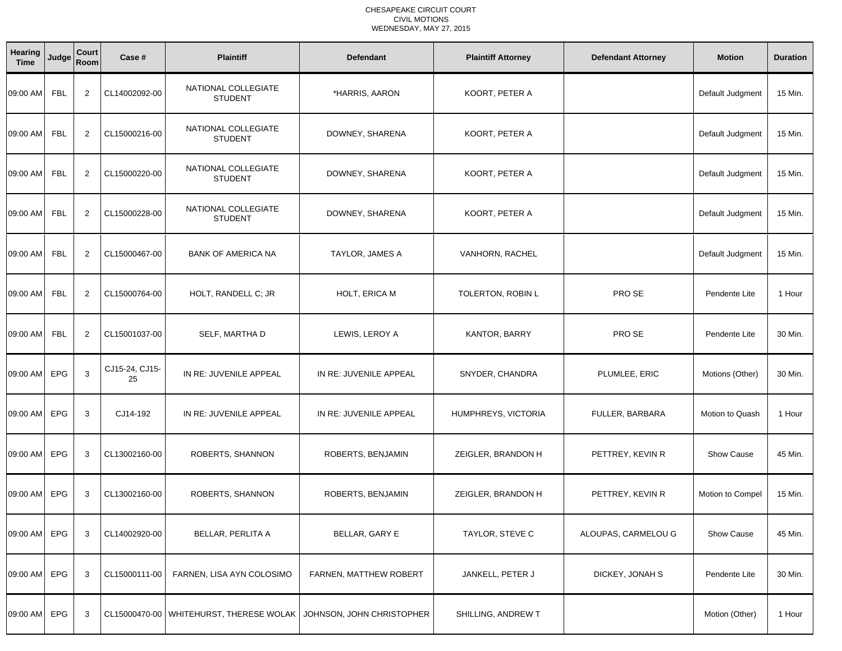| Hearing<br><b>Time</b> | Judge      | Court<br>Room  | Case #               | <b>Plaintiff</b>                        | <b>Defendant</b>          | <b>Plaintiff Attorney</b> | <b>Defendant Attorney</b> | <b>Motion</b>     | <b>Duration</b> |
|------------------------|------------|----------------|----------------------|-----------------------------------------|---------------------------|---------------------------|---------------------------|-------------------|-----------------|
| 09:00 AM               | <b>FBL</b> | 2              | CL14002092-00        | NATIONAL COLLEGIATE<br><b>STUDENT</b>   | *HARRIS, AARON            | KOORT, PETER A            |                           | Default Judgment  | 15 Min.         |
| 09:00 AM               | <b>FBL</b> | 2              | CL15000216-00        | NATIONAL COLLEGIATE<br><b>STUDENT</b>   | DOWNEY, SHARENA           | KOORT, PETER A            |                           | Default Judgment  | 15 Min.         |
| 09:00 AM               | FBL        | $\overline{2}$ | CL15000220-00        | NATIONAL COLLEGIATE<br><b>STUDENT</b>   | DOWNEY, SHARENA           | KOORT, PETER A            |                           | Default Judgment  | 15 Min.         |
| 09:00 AM               | FBL        | 2              | CL15000228-00        | NATIONAL COLLEGIATE<br><b>STUDENT</b>   | DOWNEY, SHARENA           | KOORT, PETER A            |                           | Default Judgment  | 15 Min.         |
| 09:00 AM               | <b>FBL</b> | $\overline{2}$ | CL15000467-00        | <b>BANK OF AMERICA NA</b>               | TAYLOR, JAMES A           | VANHORN, RACHEL           |                           | Default Judgment  | 15 Min.         |
| 09:00 AM               | <b>FBL</b> | $\overline{2}$ | CL15000764-00        | HOLT, RANDELL C; JR                     | HOLT, ERICA M             | TOLERTON, ROBIN L         | PRO SE                    | Pendente Lite     | 1 Hour          |
| 09:00 AM               | FBL        | $\overline{2}$ | CL15001037-00        | SELF, MARTHA D                          | LEWIS, LEROY A            | KANTOR, BARRY             | PRO SE                    | Pendente Lite     | 30 Min.         |
| 09:00 AM               | EPG        | 3              | CJ15-24, CJ15-<br>25 | IN RE: JUVENILE APPEAL                  | IN RE: JUVENILE APPEAL    | SNYDER, CHANDRA           | PLUMLEE, ERIC             | Motions (Other)   | 30 Min.         |
| 09:00 AM               | EPG        | 3              | CJ14-192             | IN RE: JUVENILE APPEAL                  | IN RE: JUVENILE APPEAL    | HUMPHREYS, VICTORIA       | FULLER, BARBARA           | Motion to Quash   | 1 Hour          |
| 09:00 AM               | <b>EPG</b> | 3              | CL13002160-00        | ROBERTS, SHANNON                        | ROBERTS, BENJAMIN         | ZEIGLER, BRANDON H        | PETTREY, KEVIN R          | <b>Show Cause</b> | 45 Min.         |
| 09:00 AM               | <b>EPG</b> | 3              | CL13002160-00        | ROBERTS, SHANNON                        | ROBERTS, BENJAMIN         | ZEIGLER, BRANDON H        | PETTREY, KEVIN R          | Motion to Compel  | 15 Min.         |
| 09:00 AM EPG           |            | 3              | CL14002920-00        | <b>BELLAR, PERLITA A</b>                | BELLAR, GARY E            | TAYLOR, STEVE C           | ALOUPAS, CARMELOU G       | Show Cause        | 45 Min.         |
| 09:00 AM EPG           |            | 3              | CL15000111-00        | FARNEN, LISA AYN COLOSIMO               | FARNEN, MATTHEW ROBERT    | JANKELL, PETER J          | DICKEY, JONAH S           | Pendente Lite     | 30 Min.         |
| 09:00 AM EPG           |            | 3              |                      | CL15000470-00 WHITEHURST, THERESE WOLAK | JOHNSON, JOHN CHRISTOPHER | SHILLING, ANDREW T        |                           | Motion (Other)    | 1 Hour          |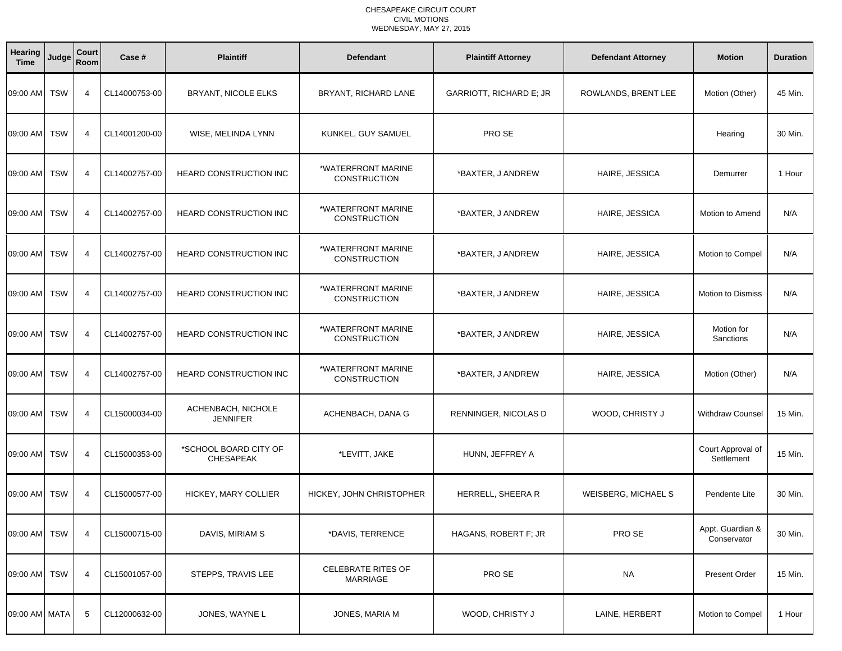| <b>Hearing</b><br><b>Time</b> | Judge      | Court<br>Room  | Case #        | <b>Plaintiff</b>                          | <b>Defendant</b>                          | <b>Plaintiff Attorney</b> | <b>Defendant Attorney</b>  | <b>Motion</b>                   | <b>Duration</b> |
|-------------------------------|------------|----------------|---------------|-------------------------------------------|-------------------------------------------|---------------------------|----------------------------|---------------------------------|-----------------|
| 09:00 AM                      | <b>TSW</b> | 4              | CL14000753-00 | BRYANT, NICOLE ELKS                       | BRYANT, RICHARD LANE                      | GARRIOTT, RICHARD E; JR   | ROWLANDS, BRENT LEE        | Motion (Other)                  | 45 Min.         |
| 09:00 AM                      | <b>TSW</b> | $\overline{4}$ | CL14001200-00 | WISE, MELINDA LYNN                        | KUNKEL, GUY SAMUEL                        | PRO SE                    |                            | Hearing                         | 30 Min.         |
| 09:00 AM                      | <b>TSW</b> | $\overline{4}$ | CL14002757-00 | <b>HEARD CONSTRUCTION INC</b>             | *WATERFRONT MARINE<br><b>CONSTRUCTION</b> | *BAXTER, J ANDREW         | HAIRE, JESSICA             | Demurrer                        | 1 Hour          |
| 09:00 AM TSW                  |            | $\overline{4}$ | CL14002757-00 | <b>HEARD CONSTRUCTION INC</b>             | *WATERFRONT MARINE<br><b>CONSTRUCTION</b> | *BAXTER, J ANDREW         | HAIRE, JESSICA             | Motion to Amend                 | N/A             |
| 09:00 AM                      | <b>TSW</b> | $\overline{4}$ | CL14002757-00 | <b>HEARD CONSTRUCTION INC</b>             | *WATERFRONT MARINE<br><b>CONSTRUCTION</b> | *BAXTER, J ANDREW         | HAIRE, JESSICA             | Motion to Compel                | N/A             |
| 09:00 AM                      | <b>TSW</b> | $\overline{4}$ | CL14002757-00 | <b>HEARD CONSTRUCTION INC</b>             | *WATERFRONT MARINE<br><b>CONSTRUCTION</b> | *BAXTER, J ANDREW         | HAIRE, JESSICA             | Motion to Dismiss               | N/A             |
| 09:00 AM TSW                  |            | $\overline{4}$ | CL14002757-00 | <b>HEARD CONSTRUCTION INC</b>             | *WATERFRONT MARINE<br><b>CONSTRUCTION</b> | *BAXTER, J ANDREW         | HAIRE, JESSICA             | Motion for<br>Sanctions         | N/A             |
| 09:00 AM                      | <b>TSW</b> | $\overline{4}$ | CL14002757-00 | <b>HEARD CONSTRUCTION INC</b>             | *WATERFRONT MARINE<br><b>CONSTRUCTION</b> | *BAXTER, J ANDREW         | HAIRE, JESSICA             | Motion (Other)                  | N/A             |
| 09:00 AM TSW                  |            | $\overline{4}$ | CL15000034-00 | ACHENBACH, NICHOLE<br><b>JENNIFER</b>     | ACHENBACH, DANA G                         | RENNINGER, NICOLAS D      | WOOD, CHRISTY J            | <b>Withdraw Counsel</b>         | 15 Min.         |
| 09:00 AM                      | <b>TSW</b> | 4              | CL15000353-00 | *SCHOOL BOARD CITY OF<br><b>CHESAPEAK</b> | *LEVITT, JAKE                             | HUNN, JEFFREY A           |                            | Court Approval of<br>Settlement | 15 Min.         |
| 09:00 AM TSW                  |            | $\overline{4}$ | CL15000577-00 | HICKEY, MARY COLLIER                      | HICKEY, JOHN CHRISTOPHER                  | HERRELL, SHEERA R         | <b>WEISBERG, MICHAEL S</b> | Pendente Lite                   | 30 Min.         |
| 09:00 AM TSW                  |            | 4              | CL15000715-00 | DAVIS, MIRIAM S                           | *DAVIS, TERRENCE                          | HAGANS, ROBERT F; JR      | PRO SE                     | Appt. Guardian &<br>Conservator | 30 Min.         |
| 09:00 AM TSW                  |            | 4              | CL15001057-00 | STEPPS, TRAVIS LEE                        | <b>CELEBRATE RITES OF</b><br>MARRIAGE     | PRO SE                    | <b>NA</b>                  | <b>Present Order</b>            | 15 Min.         |
| 09:00 AM MATA                 |            | 5              | CL12000632-00 | JONES, WAYNE L                            | JONES, MARIA M                            | WOOD, CHRISTY J           | LAINE, HERBERT             | Motion to Compel                | 1 Hour          |